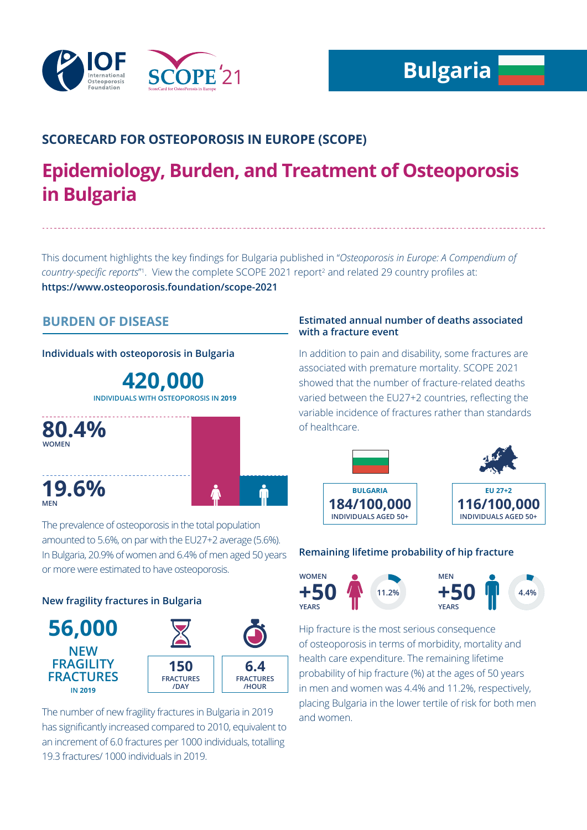

# **SCORECARD FOR OSTEOPOROSIS IN EUROPE (SCOPE)**

# **Epidemiology, Burden, and Treatment of Osteoporosis in Bulgaria**

This document highlights the key findings for Bulgaria published in "*Osteoporosis in Europe: A Compendium of*  country-specific reports<sup>"</sup>. View the complete SCOPE 2021 report<sup>2</sup> and related 29 country profiles at: **https://www.osteoporosis.foundation/scope-2021**

# **BURDEN OF DISEASE**

**Individuals with osteoporosis in Bulgaria**

**420,000 INDIVIDUALS WITH OSTEOPOROSIS IN 2019**



The prevalence of osteoporosis in the total population amounted to 5.6%, on par with the EU27+2 average (5.6%). In Bulgaria, 20.9% of women and 6.4% of men aged 50 years or more were estimated to have osteoporosis.

## **New fragility fractures in Bulgaria**



The number of new fragility fractures in Bulgaria in 2019 has significantly increased compared to 2010, equivalent to an increment of 6.0 fractures per 1000 individuals, totalling 19.3 fractures/ 1000 individuals in 2019.

### **Estimated annual number of deaths associated with a fracture event**

In addition to pain and disability, some fractures are associated with premature mortality. SCOPE 2021 showed that the number of fracture-related deaths varied between the EU27+2 countries, reflecting the variable incidence of fractures rather than standards of healthcare.



## **Remaining lifetime probability of hip fracture**



Hip fracture is the most serious consequence of osteoporosis in terms of morbidity, mortality and health care expenditure. The remaining lifetime probability of hip fracture (%) at the ages of 50 years in men and women was 4.4% and 11.2%, respectively, placing Bulgaria in the lower tertile of risk for both men and women.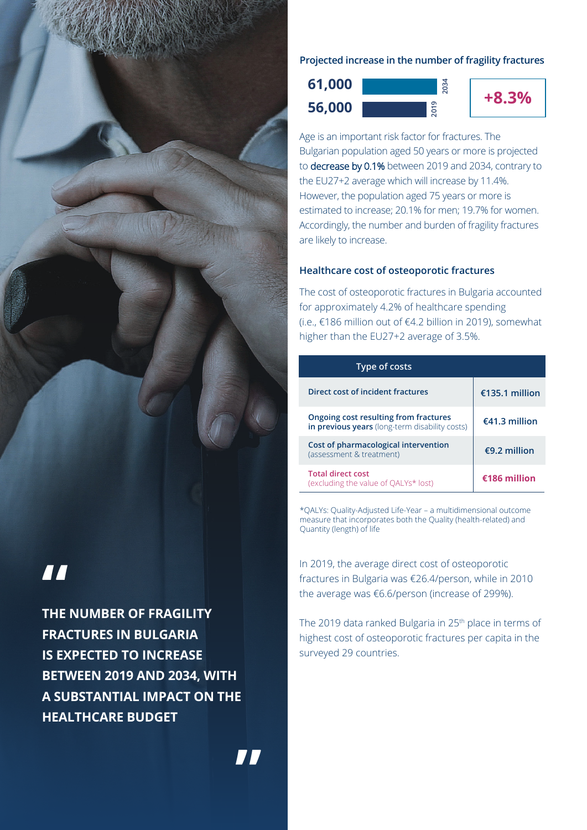

# **"**

**THE NUMBER OF FRAGILITY FRACTURES IN BULGARIA IS EXPECTED TO INCREASE BETWEEN 2019 AND 2034, WITH A SUBSTANTIAL IMPACT ON THE HEALTHCARE BUDGET**

**"**

### **Projected increase in the number of fragility fractures**





**2034**

Age is an important risk factor for fractures. The Bulgarian population aged 50 years or more is projected to decrease by 0.1% between 2019 and 2034, contrary to the EU27+2 average which will increase by 11.4%. However, the population aged 75 years or more is estimated to increase; 20.1% for men; 19.7% for women. Accordingly, the number and burden of fragility fractures are likely to increase.

## **Healthcare cost of osteoporotic fractures**

The cost of osteoporotic fractures in Bulgaria accounted for approximately 4.2% of healthcare spending (i.e., €186 million out of €4.2 billion in 2019), somewhat higher than the EU27+2 average of 3.5%.

| Type of costs                                                                           |                |
|-----------------------------------------------------------------------------------------|----------------|
| Direct cost of incident fractures                                                       | €135.1 million |
| Ongoing cost resulting from fractures<br>in previous years (long-term disability costs) | €41.3 million  |
| Cost of pharmacological intervention<br>(assessment & treatment)                        | €9.2 million   |
| <b>Total direct cost</b><br>(excluding the value of OALYs* lost)                        | €186 million   |

\*QALYs: Quality-Adjusted Life-Year – a multidimensional outcome measure that incorporates both the Quality (health-related) and Quantity (length) of life

In 2019, the average direct cost of osteoporotic fractures in Bulgaria was €26.4/person, while in 2010 the average was €6.6/person (increase of 299%).

The 2019 data ranked Bulgaria in 25<sup>th</sup> place in terms of highest cost of osteoporotic fractures per capita in the surveyed 29 countries.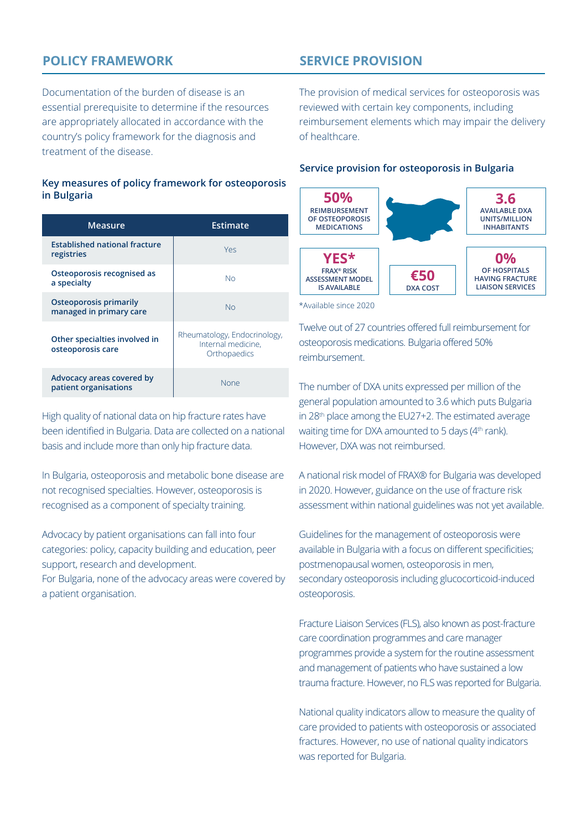# **POLICY FRAMEWORK**

**SERVICE PROVISION**

Documentation of the burden of disease is an essential prerequisite to determine if the resources are appropriately allocated in accordance with the country's policy framework for the diagnosis and treatment of the disease.

#### **Key measures of policy framework for osteoporosis in Bulgaria**

| Measure                                                  | Estimate                                                           |
|----------------------------------------------------------|--------------------------------------------------------------------|
| <b>Established national fracture</b><br>registries       | Yes                                                                |
| Osteoporosis recognised as<br>a specialty                | No                                                                 |
| <b>Osteoporosis primarily</b><br>managed in primary care | No                                                                 |
| Other specialties involved in<br>osteoporosis care       | Rheumatology, Endocrinology,<br>Internal medicine.<br>Orthopaedics |
| Advocacy areas covered by<br>patient organisations       | None                                                               |

High quality of national data on hip fracture rates have been identified in Bulgaria. Data are collected on a national basis and include more than only hip fracture data.

In Bulgaria, osteoporosis and metabolic bone disease are not recognised specialties. However, osteoporosis is recognised as a component of specialty training.

Advocacy by patient organisations can fall into four categories: policy, capacity building and education, peer support, research and development.

For Bulgaria, none of the advocacy areas were covered by a patient organisation.

The provision of medical services for osteoporosis was reviewed with certain key components, including reimbursement elements which may impair the delivery of healthcare.

#### **Service provision for osteoporosis in Bulgaria**



\*Available since 2020

Twelve out of 27 countries offered full reimbursement for osteoporosis medications. Bulgaria offered 50% reimbursement.

The number of DXA units expressed per million of the general population amounted to 3.6 which puts Bulgaria in 28<sup>th</sup> place among the EU27+2. The estimated average waiting time for DXA amounted to 5 days (4<sup>th</sup> rank). However, DXA was not reimbursed.

A national risk model of FRAX® for Bulgaria was developed in 2020. However, guidance on the use of fracture risk assessment within national guidelines was not yet available.

Guidelines for the management of osteoporosis were available in Bulgaria with a focus on different specificities; postmenopausal women, osteoporosis in men, secondary osteoporosis including glucocorticoid-induced osteoporosis.

Fracture Liaison Services (FLS), also known as post-fracture care coordination programmes and care manager programmes provide a system for the routine assessment and management of patients who have sustained a low trauma fracture. However, no FLS was reported for Bulgaria.

National quality indicators allow to measure the quality of care provided to patients with osteoporosis or associated fractures. However, no use of national quality indicators was reported for Bulgaria.